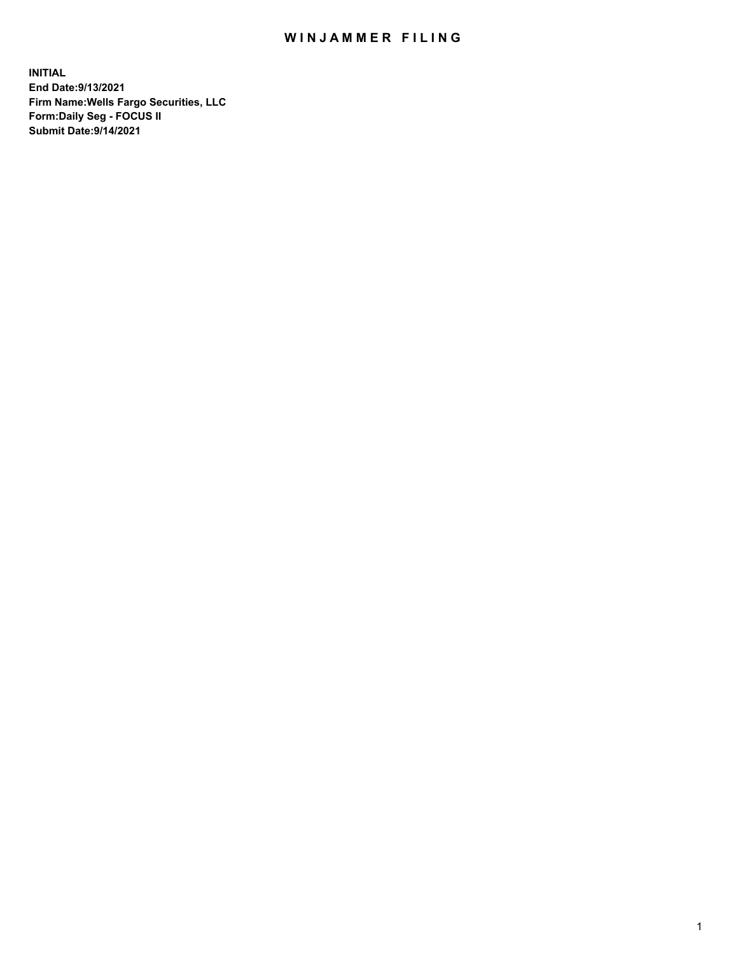## WIN JAMMER FILING

**INITIAL End Date:9/13/2021 Firm Name:Wells Fargo Securities, LLC Form:Daily Seg - FOCUS II Submit Date:9/14/2021**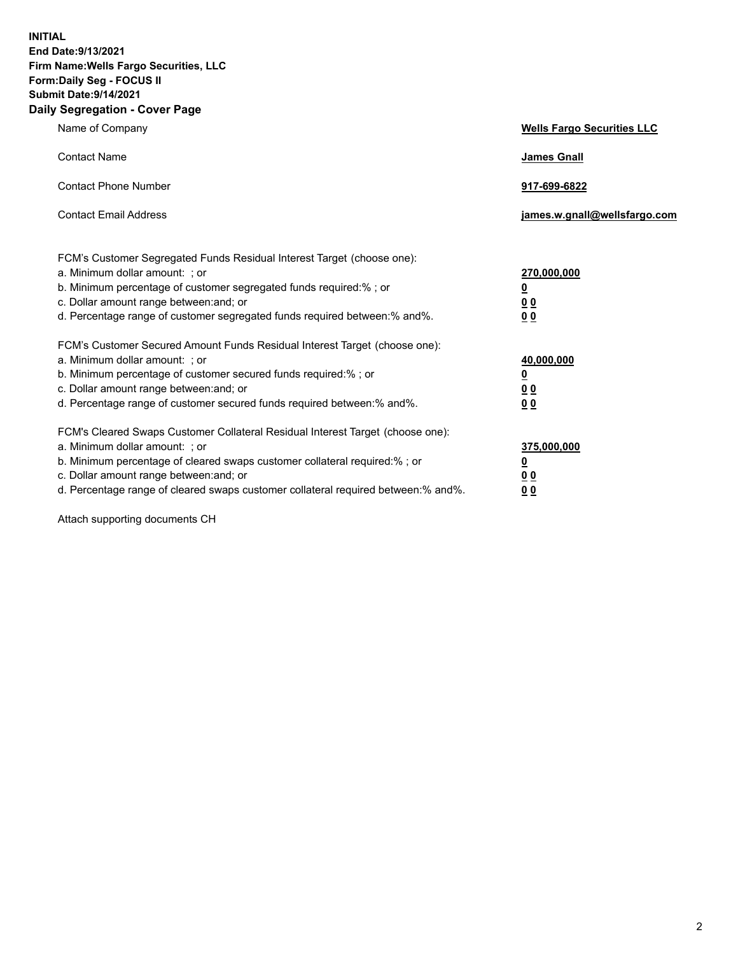**INITIAL End Date:9/13/2021 Firm Name:Wells Fargo Securities, LLC Form:Daily Seg - FOCUS II Submit Date:9/14/2021 Daily Segregation - Cover Page**

| Name of Company                                                                                                                                                                                                                                                                                                                | <b>Wells Fargo Securities LLC</b>                          |
|--------------------------------------------------------------------------------------------------------------------------------------------------------------------------------------------------------------------------------------------------------------------------------------------------------------------------------|------------------------------------------------------------|
| <b>Contact Name</b>                                                                                                                                                                                                                                                                                                            | <b>James Gnall</b>                                         |
| <b>Contact Phone Number</b>                                                                                                                                                                                                                                                                                                    | 917-699-6822                                               |
| <b>Contact Email Address</b>                                                                                                                                                                                                                                                                                                   | james.w.gnall@wellsfargo.com                               |
| FCM's Customer Segregated Funds Residual Interest Target (choose one):<br>a. Minimum dollar amount: ; or<br>b. Minimum percentage of customer segregated funds required:% ; or<br>c. Dollar amount range between: and; or<br>d. Percentage range of customer segregated funds required between: % and %.                       | 270,000,000<br><u>0</u><br><u>00</u><br>0 <sub>0</sub>     |
| FCM's Customer Secured Amount Funds Residual Interest Target (choose one):<br>a. Minimum dollar amount: ; or<br>b. Minimum percentage of customer secured funds required:% ; or<br>c. Dollar amount range between: and; or<br>d. Percentage range of customer secured funds required between: % and %.                         | 40,000,000<br><u>0</u><br>0 <sub>0</sub><br>0 <sub>0</sub> |
| FCM's Cleared Swaps Customer Collateral Residual Interest Target (choose one):<br>a. Minimum dollar amount: ; or<br>b. Minimum percentage of cleared swaps customer collateral required:% ; or<br>c. Dollar amount range between: and; or<br>d. Percentage range of cleared swaps customer collateral required between:% and%. | 375,000,000<br><u>0</u><br>00<br><u>00</u>                 |

Attach supporting documents CH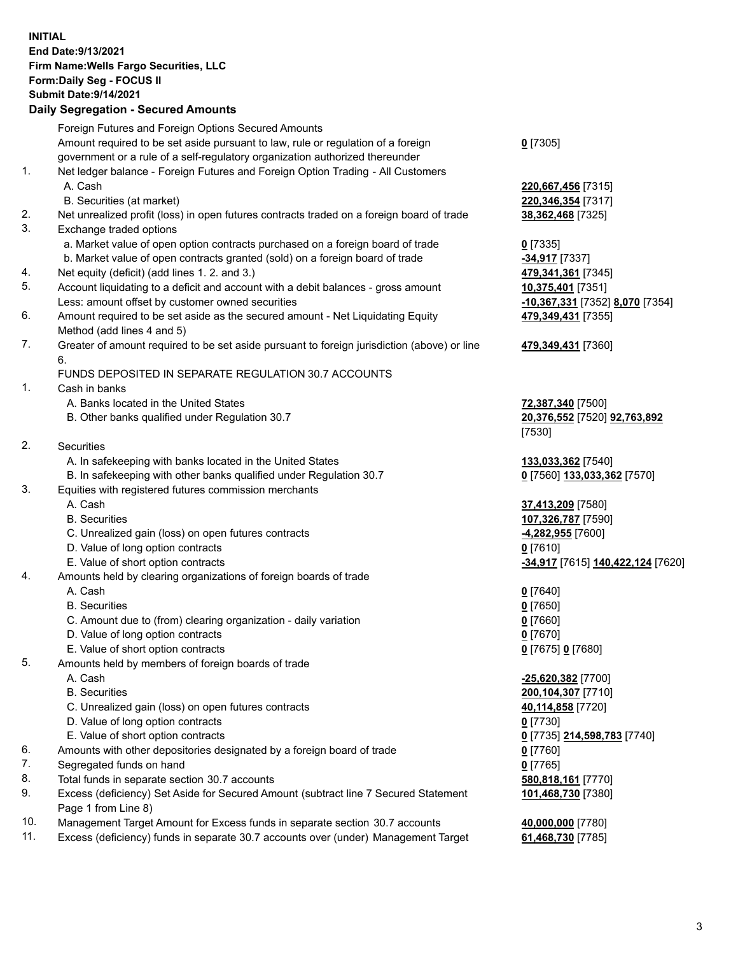**INITIAL End Date:9/13/2021 Firm Name:Wells Fargo Securities, LLC Form:Daily Seg - FOCUS II Submit Date:9/14/2021**

## **Daily Segregation - Secured Amounts**

|                 | Foreign Futures and Foreign Options Secured Amounts                                               |                                   |
|-----------------|---------------------------------------------------------------------------------------------------|-----------------------------------|
|                 | Amount required to be set aside pursuant to law, rule or regulation of a foreign                  | $0$ [7305]                        |
|                 | government or a rule of a self-regulatory organization authorized thereunder                      |                                   |
| 1.              | Net ledger balance - Foreign Futures and Foreign Option Trading - All Customers                   |                                   |
|                 | A. Cash                                                                                           | 220,667,456 [7315]                |
|                 | B. Securities (at market)                                                                         | 220, 346, 354 [7317]              |
| 2.              | Net unrealized profit (loss) in open futures contracts traded on a foreign board of trade         | 38,362,468 [7325]                 |
| 3.              | Exchange traded options                                                                           |                                   |
|                 | a. Market value of open option contracts purchased on a foreign board of trade                    | $0$ [7335]                        |
|                 | b. Market value of open contracts granted (sold) on a foreign board of trade                      | $-34,917$ [7337]                  |
| 4.              | Net equity (deficit) (add lines 1. 2. and 3.)                                                     | 479,341,361 [7345]                |
| 5.              | Account liquidating to a deficit and account with a debit balances - gross amount                 | 10,375,401 [7351]                 |
|                 | Less: amount offset by customer owned securities                                                  | -10,367,331 [7352] 8,070 [7354]   |
| 6.              | Amount required to be set aside as the secured amount - Net Liquidating Equity                    | 479,349,431 [7355]                |
|                 | Method (add lines 4 and 5)                                                                        |                                   |
| 7.              | Greater of amount required to be set aside pursuant to foreign jurisdiction (above) or line<br>6. | 479,349,431 [7360]                |
|                 | FUNDS DEPOSITED IN SEPARATE REGULATION 30.7 ACCOUNTS                                              |                                   |
| 1.              | Cash in banks                                                                                     |                                   |
|                 | A. Banks located in the United States                                                             | 72,387,340 [7500]                 |
|                 | B. Other banks qualified under Regulation 30.7                                                    | 20,376,552 [7520] 92,763,892      |
|                 |                                                                                                   | [7530]                            |
| 2.              | <b>Securities</b>                                                                                 |                                   |
|                 | A. In safekeeping with banks located in the United States                                         | 133,033,362 [7540]                |
|                 | B. In safekeeping with other banks qualified under Regulation 30.7                                |                                   |
| 3.              |                                                                                                   | 0 [7560] 133,033,362 [7570]       |
|                 | Equities with registered futures commission merchants<br>A. Cash                                  |                                   |
|                 |                                                                                                   | 37,413,209 [7580]                 |
|                 | <b>B.</b> Securities                                                                              | 107,326,787 [7590]                |
|                 | C. Unrealized gain (loss) on open futures contracts                                               | <u>-4,282,955</u> [7600]          |
|                 | D. Value of long option contracts                                                                 | $0$ [7610]                        |
|                 | E. Value of short option contracts                                                                | -34,917 [7615] 140,422,124 [7620] |
| 4.              | Amounts held by clearing organizations of foreign boards of trade                                 |                                   |
|                 | A. Cash                                                                                           | $0$ [7640]                        |
|                 | <b>B.</b> Securities                                                                              | $0$ [7650]                        |
|                 | C. Amount due to (from) clearing organization - daily variation                                   | $0$ [7660]                        |
|                 | D. Value of long option contracts                                                                 | $0$ [7670]                        |
|                 | E. Value of short option contracts                                                                | 0 [7675] 0 [7680]                 |
| 5.              | Amounts held by members of foreign boards of trade                                                |                                   |
|                 | A. Cash                                                                                           | $-25,620,382$ [7700]              |
|                 | <b>B.</b> Securities                                                                              | 200,104,307 [7710]                |
|                 | C. Unrealized gain (loss) on open futures contracts                                               | 40,114,858 [7720]                 |
|                 | D. Value of long option contracts                                                                 | $0$ [7730]                        |
|                 | E. Value of short option contracts                                                                | 0 [7735] 214,598,783 [7740]       |
| 6.              | Amounts with other depositories designated by a foreign board of trade                            | $0$ [7760]                        |
| 7.              | Segregated funds on hand                                                                          | $0$ [7765]                        |
| 8.              | Total funds in separate section 30.7 accounts                                                     | 580,818,161 [7770]                |
| 9.              | Excess (deficiency) Set Aside for Secured Amount (subtract line 7 Secured Statement               | 101,468,730 [7380]                |
|                 | Page 1 from Line 8)                                                                               |                                   |
| $\overline{10}$ |                                                                                                   | $\sim$ 000 000 $\sim$ 001         |

- 10. Management Target Amount for Excess funds in separate section 30.7 accounts **40,000,000** [7780]
- 11. Excess (deficiency) funds in separate 30.7 accounts over (under) Management Target **61,468,730** [7785]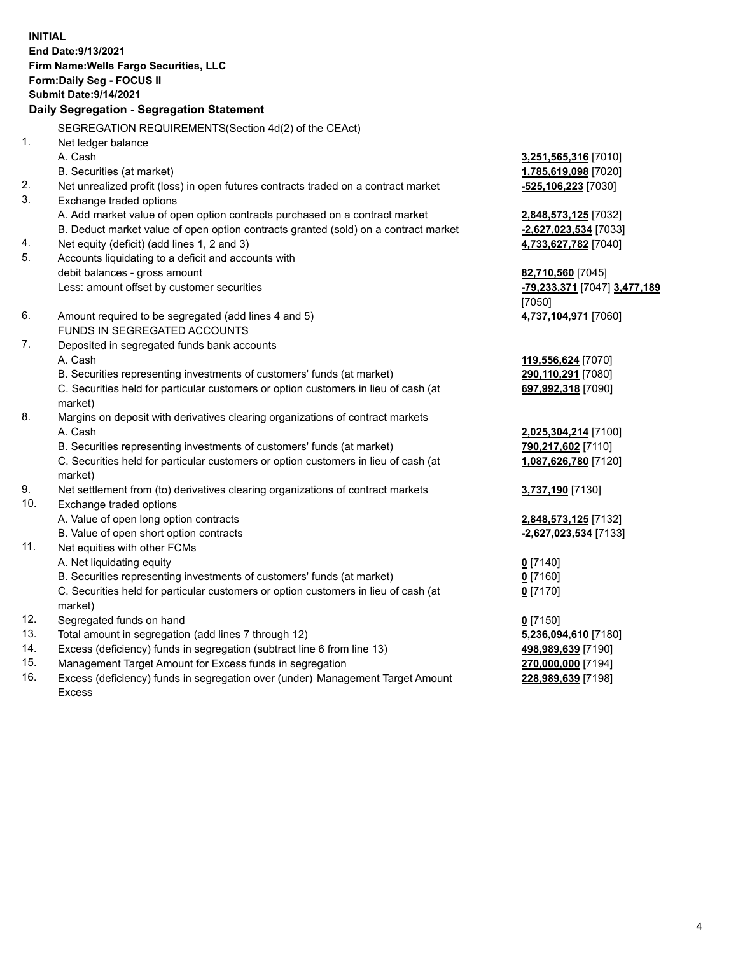**INITIAL End Date:9/13/2021 Firm Name:Wells Fargo Securities, LLC Form:Daily Seg - FOCUS II Submit Date:9/14/2021**

## **Daily Segregation - Segregation Statement**

SEGREGATION REQUIREMENTS(Section 4d(2) of the CEAct)

|     | SEGREGATION REQUIREMENTS(Section 40(2) OF the CEACH                                 |                              |
|-----|-------------------------------------------------------------------------------------|------------------------------|
| 1.  | Net ledger balance                                                                  |                              |
|     | A. Cash                                                                             | 3,251,565,316 [7010]         |
|     | B. Securities (at market)                                                           | 1,785,619,098 [7020]         |
| 2.  | Net unrealized profit (loss) in open futures contracts traded on a contract market  | $-525,106,223$ [7030]        |
| 3.  | Exchange traded options                                                             |                              |
|     | A. Add market value of open option contracts purchased on a contract market         | 2,848,573,125 [7032]         |
|     | B. Deduct market value of open option contracts granted (sold) on a contract market | -2,627,023,534 [7033]        |
| 4.  | Net equity (deficit) (add lines 1, 2 and 3)                                         | 4,733,627,782 [7040]         |
| 5.  | Accounts liquidating to a deficit and accounts with                                 |                              |
|     | debit balances - gross amount                                                       | 82,710,560 [7045]            |
|     | Less: amount offset by customer securities                                          | -79,233,371 [7047] 3,477,189 |
|     |                                                                                     | [7050]                       |
| 6.  | Amount required to be segregated (add lines 4 and 5)                                | 4,737,104,971 [7060]         |
|     | FUNDS IN SEGREGATED ACCOUNTS                                                        |                              |
| 7.  | Deposited in segregated funds bank accounts                                         |                              |
|     | A. Cash                                                                             | 119,556,624 [7070]           |
|     | B. Securities representing investments of customers' funds (at market)              | 290,110,291 [7080]           |
|     | C. Securities held for particular customers or option customers in lieu of cash (at | 697,992,318 [7090]           |
|     | market)                                                                             |                              |
| 8.  | Margins on deposit with derivatives clearing organizations of contract markets      |                              |
|     | A. Cash                                                                             | 2,025,304,214 [7100]         |
|     | B. Securities representing investments of customers' funds (at market)              | 790,217,602 [7110]           |
|     | C. Securities held for particular customers or option customers in lieu of cash (at | 1,087,626,780 [7120]         |
|     | market)                                                                             |                              |
| 9.  | Net settlement from (to) derivatives clearing organizations of contract markets     | 3,737,190 [7130]             |
| 10. | Exchange traded options                                                             |                              |
|     | A. Value of open long option contracts                                              | 2,848,573,125 [7132]         |
|     | B. Value of open short option contracts                                             | -2,627,023,534 [7133]        |
| 11. | Net equities with other FCMs                                                        |                              |
|     | A. Net liquidating equity                                                           | $0$ [7140]                   |
|     | B. Securities representing investments of customers' funds (at market)              | $0$ [7160]                   |
|     | C. Securities held for particular customers or option customers in lieu of cash (at | $0$ [7170]                   |
|     | market)                                                                             |                              |
| 12. | Segregated funds on hand                                                            | $0$ [7150]                   |
| 13. | Total amount in segregation (add lines 7 through 12)                                | 5,236,094,610 [7180]         |
| 14. | Excess (deficiency) funds in segregation (subtract line 6 from line 13)             | 498,989,639 [7190]           |
| 15. | Management Target Amount for Excess funds in segregation                            | 270,000,000 [7194]           |
| 16. | Excess (deficiency) funds in segregation over (under) Management Target Amount      | 228,989,639 [7198]           |
|     | <b>Excess</b>                                                                       |                              |